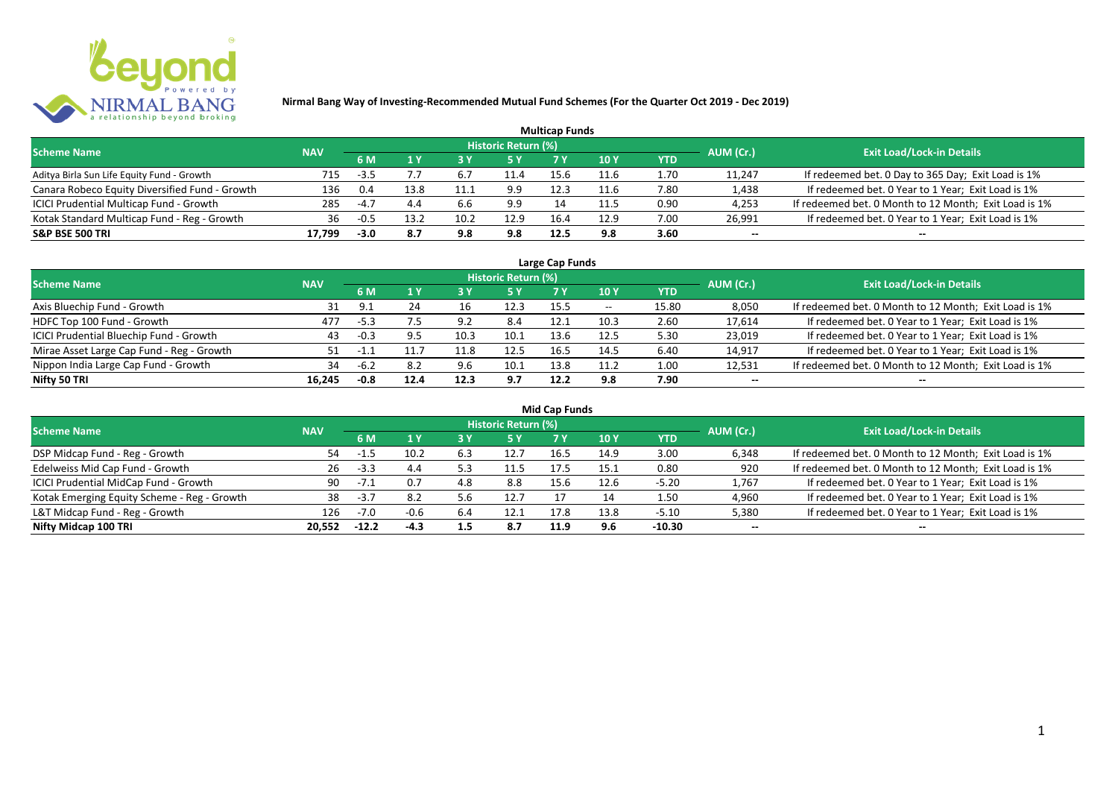

|                                                |            |        |      |       |                            | <b>Multicap Funds</b> |      |            |           |                                                       |
|------------------------------------------------|------------|--------|------|-------|----------------------------|-----------------------|------|------------|-----------|-------------------------------------------------------|
| <b>Scheme Name</b>                             | <b>NAV</b> |        |      |       | <b>Historic Return (%)</b> |                       |      |            | AUM (Cr.) | <b>Exit Load/Lock-in Details</b>                      |
|                                                |            | 6 M    |      |       |                            |                       | 10 Y | <b>YTD</b> |           |                                                       |
| Aditya Birla Sun Life Equity Fund - Growth     | 715        | $-3.5$ |      | - 6., | 11.4                       |                       | 11.6 | 1.70       | 11,247    | If redeemed bet. 0 Day to 365 Day; Exit Load is 1%    |
| Canara Robeco Equity Diversified Fund - Growth | 136        | 0.4    | 13.8 |       | 9.9                        | 12.3                  | 11.6 | 7.80       | 1,438     | If redeemed bet. 0 Year to 1 Year; Exit Load is 1%    |
| ICICI Prudential Multicap Fund - Growth        | 285        | $-4.7$ |      | 6.6   | 9.9                        | 14                    |      | 0.90       | 4,253     | If redeemed bet. 0 Month to 12 Month; Exit Load is 1% |
| Kotak Standard Multicap Fund - Reg - Growth    | 36         | $-0.5$ | 12 J | 10.2  | 12.9                       | 16.4                  | 12.9 | 7.00       | 26,991    | If redeemed bet. 0 Year to 1 Year; Exit Load is 1%    |
| <b>S&amp;P BSE 500 TRI</b>                     | 17,799     | -3.0   | 8.7  | 9.8   | 9.8                        | 12.5                  | 9.8  | 3.60       | $- -$     | $- -$                                                 |

| Large Cap Funds                           |            |        |      |      |                            |      |            |       |           |                                                       |  |  |  |
|-------------------------------------------|------------|--------|------|------|----------------------------|------|------------|-------|-----------|-------------------------------------------------------|--|--|--|
| <b>Scheme Name</b>                        | <b>NAV</b> |        |      |      | <b>Historic Return (%)</b> |      |            |       | AUM (Cr.) | <b>Exit Load/Lock-in Details</b>                      |  |  |  |
|                                           |            | 6 M    |      |      | 5 Y                        |      | <b>10Y</b> | YTD   |           |                                                       |  |  |  |
| Axis Bluechip Fund - Growth               |            | ۰ p    | 24   | 16   | 12.3                       | 15.5 | $- -$      | 15.80 | 8,050     | If redeemed bet. 0 Month to 12 Month; Exit Load is 1% |  |  |  |
| HDFC Top 100 Fund - Growth                | 477        | $-5.3$ | 7.5  | 9.2  | 8.4                        | ذ.12 | 10.3       | 2.60  | 17,614    | If redeemed bet. 0 Year to 1 Year; Exit Load is 1%    |  |  |  |
| ICICI Prudential Bluechip Fund - Growth   | 43         | $-0.3$ |      | 10.3 | 10.1                       | 13.6 | 12.5       | 5.30  | 23,019    | If redeemed bet. 0 Year to 1 Year; Exit Load is 1%    |  |  |  |
| Mirae Asset Large Cap Fund - Reg - Growth | 51         | $-1.7$ |      | 11.8 | 12.5                       | 16.5 | 14.5       | 6.40  | 14,917    | If redeemed bet. 0 Year to 1 Year; Exit Load is 1%    |  |  |  |
| Nippon India Large Cap Fund - Growth      | 34         | $-6.2$ | 8.2  | 9.6  | 10.1                       | 13.8 | 11.2       | 1.00  | 12,531    | If redeemed bet. 0 Month to 12 Month; Exit Load is 1% |  |  |  |
| Nifty 50 TRI                              | 16.245     | $-0.8$ | 12.4 | 12.3 | 9.7                        | 12.2 | 9.8        | 7.90  | $- -$     | $- -$                                                 |  |  |  |

| <b>Mid Cap Funds</b>                        |            |         |        |     |                            |      |      |            |           |                                                       |  |  |  |  |
|---------------------------------------------|------------|---------|--------|-----|----------------------------|------|------|------------|-----------|-------------------------------------------------------|--|--|--|--|
| <b>Scheme Name</b>                          | <b>NAV</b> |         |        |     | <b>Historic Return (%)</b> |      |      |            | AUM (Cr.) | <b>Exit Load/Lock-in Details</b>                      |  |  |  |  |
|                                             |            | 6 M     |        |     | 5 Y                        | 7 Y  | 10 Y | <b>YTD</b> |           |                                                       |  |  |  |  |
| DSP Midcap Fund - Reg - Growth              | 54         | -4.5    | 10.2   | 6.3 | 12.7                       | 16.5 | 14.9 | 3.00       | 6,348     | If redeemed bet. 0 Month to 12 Month; Exit Load is 1% |  |  |  |  |
| Edelweiss Mid Cap Fund - Growth             | 26         | $-3.3$  | 4.4    | 5.3 | 11.5                       | 17.5 | 15.1 | 0.80       | 920       | If redeemed bet. 0 Month to 12 Month; Exit Load is 1% |  |  |  |  |
| ICICI Prudential MidCap Fund - Growth       | 90         | $-71$   | 0.7    | 4.8 | 8.8                        | 15.6 | 12.6 | $-5.20$    | 1,767     | If redeemed bet. 0 Year to 1 Year; Exit Load is 1%    |  |  |  |  |
| Kotak Emerging Equity Scheme - Reg - Growth | 38         | $-3.7$  | 8.2    | 5.6 | 12.7                       |      |      | 1.50       | 4,960     | If redeemed bet. 0 Year to 1 Year; Exit Load is 1%    |  |  |  |  |
| L&T Midcap Fund - Reg - Growth              | 126        | $-7.0$  | $-0.6$ | 6.4 | 12.1                       | 17.8 | 13.8 | $-5.10$    | 5,380     | If redeemed bet. 0 Year to 1 Year; Exit Load is 1%    |  |  |  |  |
| Nifty Midcap 100 TRI                        | 20.552     | $-12.2$ | $-4.3$ | 1.5 | 8.7                        | 11.9 | 9.6  | $-10.30$   | $- -$     | --                                                    |  |  |  |  |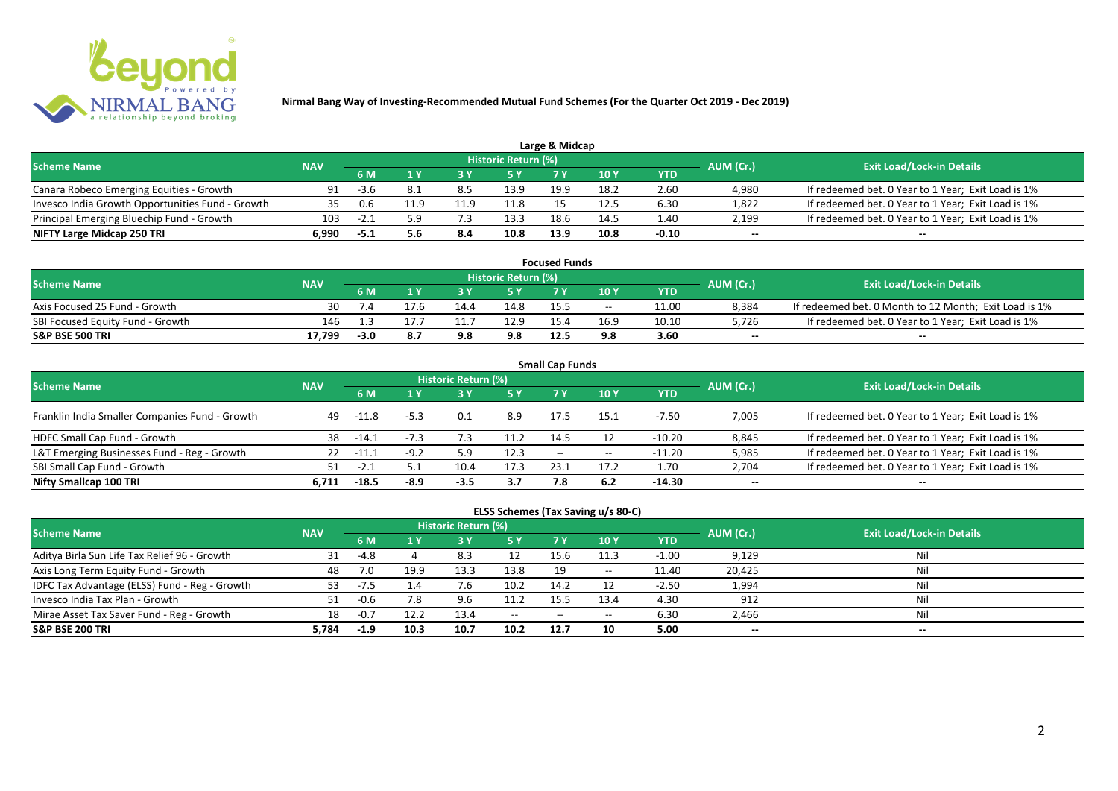

|                                                  |            |        |      |     |                            | Large & Midcap |      |         |           |                                                    |
|--------------------------------------------------|------------|--------|------|-----|----------------------------|----------------|------|---------|-----------|----------------------------------------------------|
| <b>Scheme Name</b>                               | <b>NAV</b> |        |      |     | <b>Historic Return (%)</b> |                |      |         | AUM (Cr.) | <b>Exit Load/Lock-in Details</b>                   |
|                                                  |            | 6 M    |      |     | 5 Y                        |                |      | YTD     |           |                                                    |
| Canara Robeco Emerging Equities - Growth         | 91         | $-3.6$ |      | 8.5 | 13.9                       | 19.9           | 18.2 | 2.60    | 4,980     | If redeemed bet. 0 Year to 1 Year; Exit Load is 1% |
| Invesco India Growth Opportunities Fund - Growth | 35         | 0.6    | 1.9ء |     | 11.8                       |                | 12.5 | 6.30    | 1,822     | If redeemed bet. 0 Year to 1 Year; Exit Load is 1% |
| Principal Emerging Bluechip Fund - Growth        | 103        | $-2.1$ | 5 Q  |     | 13.3                       | 18.6           | 14.5 | 1.40    | 2,199     | If redeemed bet. 0 Year to 1 Year; Exit Load is 1% |
| NIFTY Large Midcap 250 TRI                       | 6.990      | -5.1   |      | 8.4 | 10.8                       | 13.9           | 10.8 | $-0.10$ | $- -$     | $- -$                                              |

| <b>Focused Funds</b>             |            |        |      |      |                            |      |       |       |           |                                                       |  |  |  |
|----------------------------------|------------|--------|------|------|----------------------------|------|-------|-------|-----------|-------------------------------------------------------|--|--|--|
| <b>Scheme Name</b>               | <b>NAV</b> |        |      |      | <b>Historic Return (%)</b> |      |       |       | AUM (Cr.) | <b>Exit Load/Lock-in Details</b>                      |  |  |  |
|                                  |            | 6 M    |      |      | 5 Y                        |      | 10 Y  | YTD   |           |                                                       |  |  |  |
| Axis Focused 25 Fund - Growth    | 30         |        | 17.6 | 14.4 | 14.8                       | 15.5 | $- -$ | 11.00 | 8,384     | If redeemed bet. 0 Month to 12 Month; Exit Load is 1% |  |  |  |
| SBI Focused Equity Fund - Growth | 146        | -3     |      |      | 12.9                       | 15A  |       | 10.10 | 5,726     | If redeemed bet. 0 Year to 1 Year; Exit Load is 1%    |  |  |  |
| <b>S&amp;P BSE 500 TRI</b>       | 17.799     | $-3.0$ |      | 9.8  | 9.8                        | 12.5 | 9.8   | 3.60  | $- -$     | $-$                                                   |  |  |  |

| <b>Small Cap Funds</b>                         |            |         |        |                     |      |                          |       |            |           |                                                    |  |  |  |
|------------------------------------------------|------------|---------|--------|---------------------|------|--------------------------|-------|------------|-----------|----------------------------------------------------|--|--|--|
| <b>Scheme Name</b>                             | <b>NAV</b> |         |        | Historic Return (%) |      |                          |       |            | AUM (Cr.) | <b>Exit Load/Lock-in Details</b>                   |  |  |  |
|                                                |            |         |        |                     | 5 Y  | 7 Y                      | 710Y  | <b>YTD</b> |           |                                                    |  |  |  |
| Franklin India Smaller Companies Fund - Growth | 49         | -11.8   | $-5.3$ | 0.1                 | 8.9  | 17.5                     | 15.1  | -7.50      | 7,005     | If redeemed bet. 0 Year to 1 Year; Exit Load is 1% |  |  |  |
| HDFC Small Cap Fund - Growth                   | 38         | -14.1   |        |                     | 11.2 | 14.5                     | 12    | $-10.20$   | 8,845     | If redeemed bet. 0 Year to 1 Year; Exit Load is 1% |  |  |  |
| L&T Emerging Businesses Fund - Reg - Growth    | 22         | -11.1   | -9.z   |                     | 12.3 | $\overline{\phantom{a}}$ | $- -$ | $-11.20$   | 5,985     | If redeemed bet. 0 Year to 1 Year; Exit Load is 1% |  |  |  |
| SBI Small Cap Fund - Growth                    |            | $-2.1$  | 5.1    | 10.4                | 17.3 | 23.3                     | 17.2  | 1.70       | 2,704     | If redeemed bet. 0 Year to 1 Year; Exit Load is 1% |  |  |  |
| Nifty Smallcap 100 TRI                         | 6.711      | $-18.5$ | $-8.9$ | $-3.5$              | 3.7  | 7.8                      | 6.2   | $-14.30$   | $- -$     | --                                                 |  |  |  |

## **ELSS Schemes (Tax Saving u/s 80-C)**

| <b>Scheme Name</b>                            | <b>NAV</b> |        |          | <b>Historic Return (%)</b> |              |       |       |         | AUM (Cr.) | <b>Exit Load/Lock-in Details</b> |
|-----------------------------------------------|------------|--------|----------|----------------------------|--------------|-------|-------|---------|-----------|----------------------------------|
|                                               |            | 6 M    |          |                            | <b>5Y</b>    | 7 Y   | 10 Y  | YTD     |           |                                  |
| Aditya Birla Sun Life Tax Relief 96 - Growth  | 31         | -4.8   |          | 8.3                        | 12           | 15.6  | 11.3  | $-1.00$ | 9,129     | Nil                              |
| Axis Long Term Equity Fund - Growth           | 48         |        | 19.9     | 13.3                       | 13.8         | 19    | $- -$ | 11.40   | 20,425    | Nil                              |
| IDFC Tax Advantage (ELSS) Fund - Reg - Growth | 53         | -7.5   | $\pm .4$ |                            | 10.2         | 14.2  |       | $-2.50$ | 1,994     | Nil                              |
| Invesco India Tax Plan - Growth               |            | $-0.6$ | 7.8      | 9.6                        | 11.2         | 15.5  | 13.4  | 4.30    | 912       | Nil                              |
| Mirae Asset Tax Saver Fund - Reg - Growth     | 18         | $-0.7$ | 12.2     | 13.4                       | $-$ – $\sim$ | $- -$ | $- -$ | 6.30    | 2,466     | Nil                              |
| <b>S&amp;P BSE 200 TRI</b>                    | 5.784      | $-1.9$ | 10.3     | 10.7                       | 10.2         | 12.7  | 10    | 5.00    | $- -$     | $- -$                            |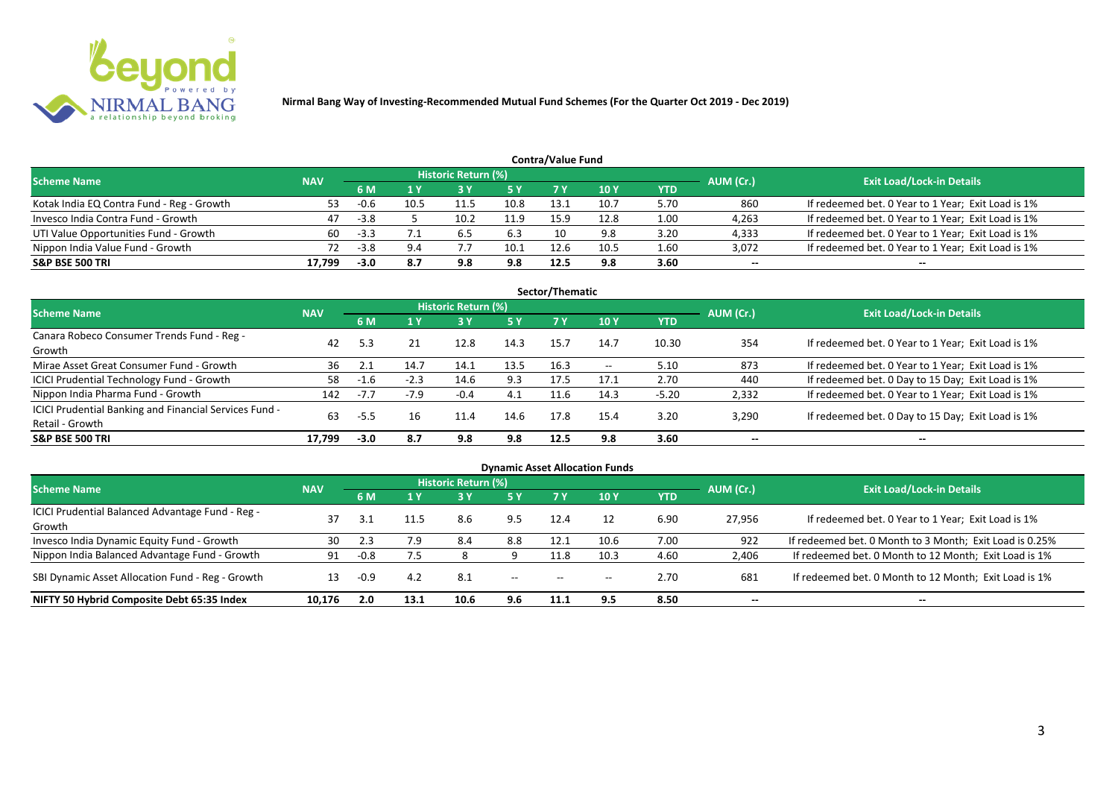

| <b>Contra/Value Fund</b>                  |            |        |      |                            |           |      |      |            |           |                                                    |  |  |  |  |
|-------------------------------------------|------------|--------|------|----------------------------|-----------|------|------|------------|-----------|----------------------------------------------------|--|--|--|--|
| <b>Scheme Name</b>                        | <b>NAV</b> |        |      | <b>Historic Return (%)</b> |           |      |      |            | AUM (Cr.) | <b>Exit Load/Lock-in Details</b>                   |  |  |  |  |
|                                           |            | 6 M    |      |                            | <b>5Y</b> |      | 10 Y | <b>YTD</b> |           |                                                    |  |  |  |  |
| Kotak India EQ Contra Fund - Reg - Growth | 53         | $-0.6$ | 10.5 | 11.5                       | 10.8      | 13.1 | 10.7 | 5.70       | 860       | If redeemed bet. 0 Year to 1 Year; Exit Load is 1% |  |  |  |  |
| Invesco India Contra Fund - Growth        | 47         | $-3.8$ |      | 10.2                       | 11.9      | 15.9 | 12.8 | 1.00       | 4,263     | If redeemed bet. 0 Year to 1 Year; Exit Load is 1% |  |  |  |  |
| UTI Value Opportunities Fund - Growth     | 60         | $-3.3$ |      | 6.5                        | 6.3       | 10   | 9.8  | 3.20       | 4,333     | If redeemed bet. 0 Year to 1 Year; Exit Load is 1% |  |  |  |  |
| Nippon India Value Fund - Growth          |            | $-3.8$ | 9.4  |                            | 10.1      | 12.6 | 10.5 | 1.60       | 3,072     | If redeemed bet. 0 Year to 1 Year; Exit Load is 1% |  |  |  |  |
| <b>S&amp;P BSE 500 TRI</b>                | 17.799     | $-3.0$ | 8.7  | 9.8                        | 9.8       | 12.5 | 9.8  | 3.60       | $- -$     | $- -$                                              |  |  |  |  |

| Sector/Thematic                                                           |            |        |        |                            |      |      |       |         |           |                                                    |  |  |  |
|---------------------------------------------------------------------------|------------|--------|--------|----------------------------|------|------|-------|---------|-----------|----------------------------------------------------|--|--|--|
| <b>Scheme Name</b>                                                        | <b>NAV</b> |        |        | <b>Historic Return (%)</b> |      |      |       |         | AUM (Cr.) | <b>Exit Load/Lock-in Details</b>                   |  |  |  |
|                                                                           |            | 6 M    | 1Y     | 73 Y                       | 5 Y  | 7 Y  | 10Y   | YTD     |           |                                                    |  |  |  |
| Canara Robeco Consumer Trends Fund - Reg -<br>Growth                      | 42         | 5.3    | 21     | 12.8                       | 14.3 | 15.7 | 14.7  | 10.30   | 354       | If redeemed bet. 0 Year to 1 Year; Exit Load is 1% |  |  |  |
| Mirae Asset Great Consumer Fund - Growth                                  | 36         |        | 14.7   | 14.1                       | 13.5 | 16.3 | $- -$ | 5.10    | 873       | If redeemed bet. 0 Year to 1 Year; Exit Load is 1% |  |  |  |
| <b>ICICI Prudential Technology Fund - Growth</b>                          | 58         | $-1.6$ | $-2.3$ | 14.6                       | 9.3  | 17.5 | 17.1  | 2.70    | 440       | If redeemed bet. 0 Day to 15 Day; Exit Load is 1%  |  |  |  |
| Nippon India Pharma Fund - Growth                                         | 142        | $-7.7$ | $-7.9$ | $-0.4$                     | 4.1  | 11.6 | 14.3  | $-5.20$ | 2,332     | If redeemed bet. 0 Year to 1 Year; Exit Load is 1% |  |  |  |
| ICICI Prudential Banking and Financial Services Fund -<br>Retail - Growth | 63         | -5.5   | 16     | 11.4                       | 14.6 | 17.8 | 15.4  | 3.20    | 3,290     | If redeemed bet. 0 Day to 15 Day; Exit Load is 1%  |  |  |  |
| <b>S&amp;P BSE 500 TRI</b>                                                | 17.799     | $-3.0$ | 8.7    | 9.8                        | 9.8  | 12.5 | 9.8   | 3.60    | --        | $- -$                                              |  |  |  |

| <b>Dynamic Asset Allocation Funds</b>                      |            |           |      |                            |               |                          |      |            |           |                                                         |  |  |  |
|------------------------------------------------------------|------------|-----------|------|----------------------------|---------------|--------------------------|------|------------|-----------|---------------------------------------------------------|--|--|--|
| <b>Scheme Name</b>                                         | <b>NAV</b> |           |      | <b>Historic Return (%)</b> |               |                          |      |            | AUM (Cr.) | <b>Exit Load/Lock-in Details</b>                        |  |  |  |
|                                                            |            | <b>6M</b> | 1 Y  | 3 Y                        | 5 Y           | 7 Y.                     | 10Y  | <b>YTD</b> |           |                                                         |  |  |  |
| ICICI Prudential Balanced Advantage Fund - Reg -<br>Growth | 37         |           | 11.5 | 8.6                        | 9.5           | 12.4                     |      | 6.90       | 27,956    | If redeemed bet. 0 Year to 1 Year; Exit Load is 1%      |  |  |  |
| Invesco India Dynamic Equity Fund - Growth                 | 30         | 2.3       | 7.9  | 8.4                        | 8.8           | 12.1                     | 10.6 | 7.00       | 922       | If redeemed bet. 0 Month to 3 Month; Exit Load is 0.25% |  |  |  |
| Nippon India Balanced Advantage Fund - Growth              | 91         | $-0.8$    |      |                            |               | 11.8                     | 10.3 | 4.60       | 2,406     | If redeemed bet. 0 Month to 12 Month; Exit Load is 1%   |  |  |  |
| SBI Dynamic Asset Allocation Fund - Reg - Growth           | 13         | $-0.9$    | 4.2  | 8.1                        | $\sim$ $\sim$ | $\overline{\phantom{a}}$ | $-$  | 2.70       | 681       | If redeemed bet. 0 Month to 12 Month; Exit Load is 1%   |  |  |  |
| NIFTY 50 Hybrid Composite Debt 65:35 Index                 | 10,176     | 2.0       | 13.1 | 10.6                       | 9.6           | 11.1                     | 9.5  | 8.50       | $- -$     | $- -$                                                   |  |  |  |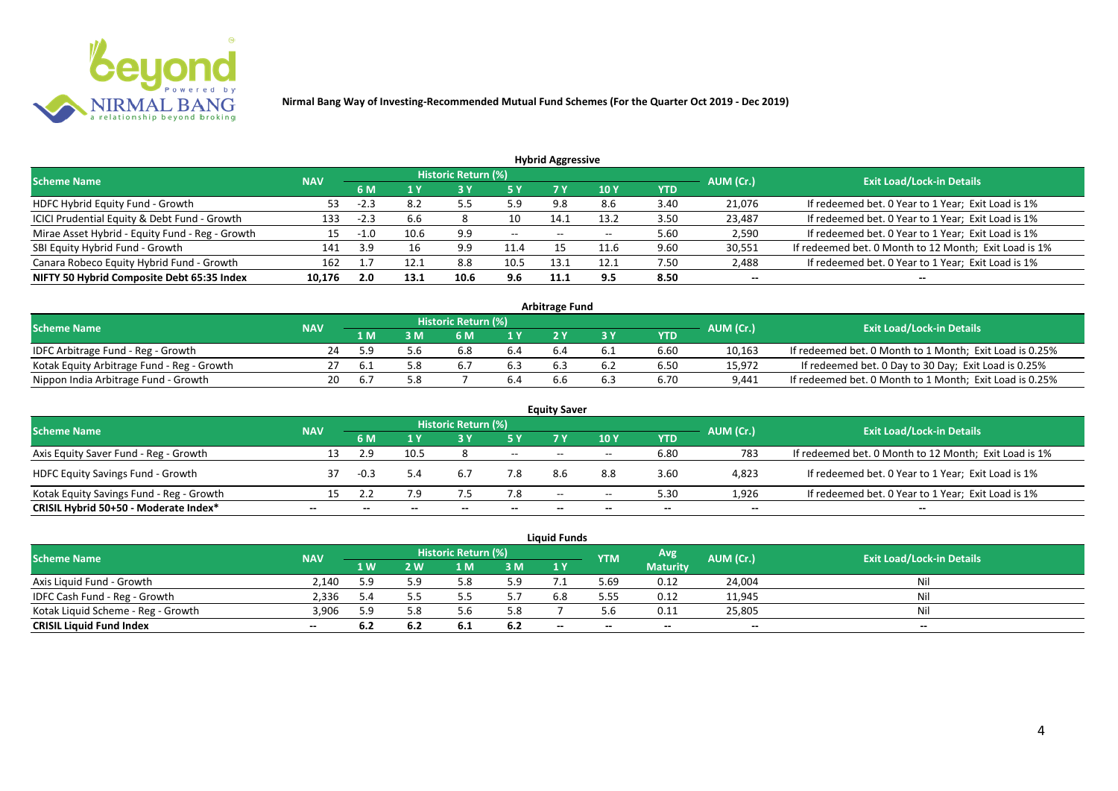

| <b>Hybrid Aggressive</b>                        |            |        |      |                            |       |       |       |            |           |                                                       |  |  |  |
|-------------------------------------------------|------------|--------|------|----------------------------|-------|-------|-------|------------|-----------|-------------------------------------------------------|--|--|--|
| <b>Scheme Name</b>                              | <b>NAV</b> |        |      | <b>Historic Return (%)</b> |       |       |       |            | AUM (Cr.) | <b>Exit Load/Lock-in Details</b>                      |  |  |  |
|                                                 |            | 6 M    |      |                            | 5 Y   | 7 Y   | 10 Y  | <b>YTD</b> |           |                                                       |  |  |  |
| HDFC Hybrid Equity Fund - Growth                | 53         | $-2.3$ | 8.2  | 55<br>ر.ر                  | 5.9   | 9.8   | 8.6   | 3.40       | 21,076    | If redeemed bet. 0 Year to 1 Year; Exit Load is 1%    |  |  |  |
| ICICI Prudential Equity & Debt Fund - Growth    | 133        | $-2.3$ | 6.6  |                            | 10    | 14.1  | 13.2  | 3.50       | 23,487    | If redeemed bet. 0 Year to 1 Year; Exit Load is 1%    |  |  |  |
| Mirae Asset Hybrid - Equity Fund - Reg - Growth | 15         | $-1.0$ | 10.6 | 9.9                        | $- -$ | $- -$ | $- -$ | 5.60       | 2,590     | If redeemed bet. 0 Year to 1 Year; Exit Load is 1%    |  |  |  |
| SBI Equity Hybrid Fund - Growth                 | 141        | 3.9    | 16   | 9.9                        | 11.4  |       | 11.6  | 9.60       | 30,551    | If redeemed bet. 0 Month to 12 Month; Exit Load is 1% |  |  |  |
| Canara Robeco Equity Hybrid Fund - Growth       | 162        |        | 12.1 | 8.8                        | 10.5  | 13.   | 12.1  | 7.50       | 2,488     | If redeemed bet. 0 Year to 1 Year; Exit Load is 1%    |  |  |  |
| NIFTY 50 Hybrid Composite Debt 65:35 Index      | 10,176     | 2.0    | 13.1 | 10.6                       | 9.6   | 11.1  | 9.5   | 8.50       | $- -$     | --                                                    |  |  |  |
|                                                 |            |        |      |                            |       |       |       |            |           |                                                       |  |  |  |

| <b>Arbitrage Fund</b>                      |            |          |     |                            |                  |     |     |      |           |                                                         |  |  |  |
|--------------------------------------------|------------|----------|-----|----------------------------|------------------|-----|-----|------|-----------|---------------------------------------------------------|--|--|--|
| <b>Scheme Name</b>                         | <b>NAV</b> |          |     | <b>Historic Return (%)</b> |                  |     |     |      | AUM (Cr.) | <b>Exit Load/Lock-in Details</b>                        |  |  |  |
|                                            |            | L M      | : M | 6 M                        | $\overline{1}$ Y |     |     | YTD  |           |                                                         |  |  |  |
| IDFC Arbitrage Fund - Reg - Growth         | 24         | 59       |     | 6.8                        | 6.4              | b.4 | b.1 | 6.60 | 10,163    | If redeemed bet. 0 Month to 1 Month; Exit Load is 0.25% |  |  |  |
| Kotak Equity Arbitrage Fund - Reg - Growth |            | <b>b</b> |     | 6.                         |                  |     |     | 6.50 | 15,972    | If redeemed bet. 0 Day to 30 Day; Exit Load is 0.25%    |  |  |  |
| Nippon India Arbitrage Fund - Growth       | 20.        |          |     |                            | 6.4              | b.b |     | 6.70 | 9,441     | If redeemed bet. 0 Month to 1 Month; Exit Load is 0.25% |  |  |  |

|                                          |            |        |      |                            |       | <b>Equity Saver</b> |       |      |           |                                                       |
|------------------------------------------|------------|--------|------|----------------------------|-------|---------------------|-------|------|-----------|-------------------------------------------------------|
| <b>Scheme Name</b>                       | <b>NAV</b> |        |      | <b>Historic Return (%)</b> |       |                     |       |      | AUM (Cr.) | <b>Exit Load/Lock-in Details</b>                      |
|                                          |            | 6 M    |      |                            | 5 Y   | 7 Y                 | 10Y   | YTD  |           |                                                       |
| Axis Equity Saver Fund - Reg - Growth    | 13         | 2.9    | 10.5 |                            | $-$   | $-$                 | $- -$ | 6.80 | 783       | If redeemed bet. 0 Month to 12 Month; Exit Load is 1% |
| <b>HDFC Equity Savings Fund - Growth</b> |            | $-0.3$ | 5.4  | 6.7                        | 7.8   |                     | 8.8   | 3.60 | 4,823     | If redeemed bet. 0 Year to 1 Year; Exit Load is 1%    |
| Kotak Equity Savings Fund - Reg - Growth | 15         |        | 7.9  |                            | 7.8   | $- -$               | $- -$ | 5.30 | 1.926     | If redeemed bet. 0 Year to 1 Year; Exit Load is 1%    |
| CRISIL Hybrid 50+50 - Moderate Index*    | --         |        |      |                            | $- -$ | --                  |       | $-$  | --        | $- -$                                                 |

|                                    |            |     |              |                     |     | <b>Liquid Funds</b> |            |                 |           |                                  |
|------------------------------------|------------|-----|--------------|---------------------|-----|---------------------|------------|-----------------|-----------|----------------------------------|
| <b>Scheme Name</b>                 | <b>NAV</b> |     |              | Historic Return (%) |     |                     | <b>YTM</b> | Avg.            | AUM (Cr.) | <b>Exit Load/Lock-in Details</b> |
|                                    |            | 1 W | $\mathbf{w}$ | ∣ M                 | 3 M | 1Y                  |            | <b>Maturity</b> |           |                                  |
| Axis Liquid Fund - Growth          | 2.140      | 5.9 | 5.9          |                     | 5.9 |                     | 5.69       | 0.12            | 24,004    | Nil                              |
| IDFC Cash Fund - Reg - Growth      | 2,336      |     |              |                     |     | 6.8                 | 5.55       | 0.12            | 11,945    | Nil                              |
| Kotak Liquid Scheme - Reg - Growth | 3,906      | 59  | 5.8          |                     | 5.8 |                     |            | 0.11            | 25,805    | Nil                              |
| <b>CRISIL Liquid Fund Index</b>    | $- -$      |     | -6.2         | -6.1                | 6.2 | $-$                 | $- -$      | $- -$           | $- -$     | $- -$                            |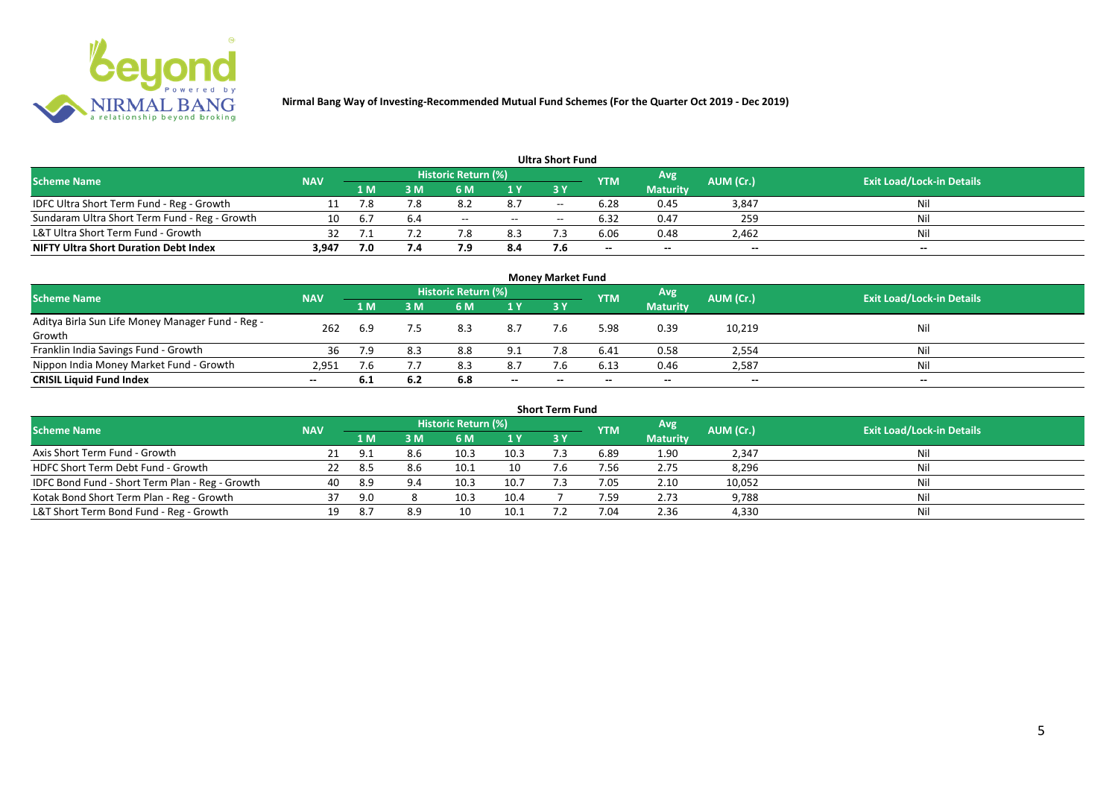

|                                               |            |     |     |                            |       | <b>Ultra Short Fund</b> |            |                 |                          |                                  |
|-----------------------------------------------|------------|-----|-----|----------------------------|-------|-------------------------|------------|-----------------|--------------------------|----------------------------------|
| <b>Scheme Name</b>                            | <b>NAV</b> |     |     | <b>Historic Return (%)</b> |       |                         | <b>YTM</b> | <b>Avg</b>      | AUM (Cr.)                | <b>Exit Load/Lock-in Details</b> |
|                                               |            | 1 M | 3 M |                            | 1 Y   | 73 Y                    |            | <b>Maturity</b> |                          |                                  |
| IDFC Ultra Short Term Fund - Reg - Growth     |            |     |     | o.z                        | 8.7   | $- -$                   | 6.28       | 0.45            | 3,847                    | Nil                              |
| Sundaram Ultra Short Term Fund - Reg - Growth | 10         | b.7 |     | $- -$                      | $- -$ | $- -$                   | 6.32       | 0.47            | 259                      | Nil                              |
| L&T Ultra Short Term Fund - Growth            | 32         |     |     |                            | 8.3   |                         | 6.06       | 0.48            | 2,462                    | Nil                              |
| <b>NIFTY Ultra Short Duration Debt Index</b>  | 3,947      | 7.0 | 7.4 |                            | 8.4   | 7.6                     | $- -$      | $- -$           | $\overline{\phantom{a}}$ | $-$                              |

|                                                            |            |     |     |                     |     | <b>Money Market Fund</b> |            |                 |           |                                  |
|------------------------------------------------------------|------------|-----|-----|---------------------|-----|--------------------------|------------|-----------------|-----------|----------------------------------|
| <b>Scheme Name</b>                                         | <b>NAV</b> |     |     | Historic Return (%) |     |                          | <b>YTM</b> | Avg             | AUM (Cr.) | <b>Exit Load/Lock-in Details</b> |
|                                                            |            | 1 M | 3 M | 6 M                 | 1Y  | 3Y                       |            | <b>Maturity</b> |           |                                  |
| Aditya Birla Sun Life Money Manager Fund - Reg -<br>Growth | 262        | 6.9 |     | 8.3                 | 8.7 | 7.6                      | 5.98       | 0.39            | 10,219    | Nil                              |
| Franklin India Savings Fund - Growth                       | 36         |     | 8.3 | 8.8                 | 9.1 |                          | 6.41       | 0.58            | 2,554     | Nil                              |
| Nippon India Money Market Fund - Growth                    | 2,951      | 7.6 |     | 8.3                 | 8.7 | 7.6                      | 6.13       | 0.46            | 2,587     | Nil                              |
| <b>CRISIL Liquid Fund Index</b>                            | $- -$      | 6.1 | 6.2 | 6.8                 | $-$ | $\overline{\phantom{a}}$ | --         | $- -$           | $-$       | $- -$                            |

| <b>Short Term Fund</b>                          |            |      |     |                     |      |            |            |                 |           |                                  |  |  |  |
|-------------------------------------------------|------------|------|-----|---------------------|------|------------|------------|-----------------|-----------|----------------------------------|--|--|--|
| <b>Scheme Name</b>                              | <b>NAV</b> |      |     | Historic Return (%) |      |            | <b>YTM</b> | Avg             | AUM (Cr.) | <b>Exit Load/Lock-in Details</b> |  |  |  |
|                                                 |            | 1 M. | 3 M | 6 M                 | 1Y   | <b>3 Y</b> |            | <b>Maturity</b> |           |                                  |  |  |  |
| Axis Short Term Fund - Growth                   |            | Q 1  |     | 10.3                | 10.3 |            | 6.89       | 1.90            | 2,347     | Nil                              |  |  |  |
| HDFC Short Term Debt Fund - Growth              |            | -8.5 |     | 10.1                | 10   |            | 7.56       | 2.75            | 8,296     | Nil                              |  |  |  |
| IDFC Bond Fund - Short Term Plan - Reg - Growth | 40         | -8.9 | 9.4 | 10.3                | 10.7 |            | 7.05       | 2.10            | 10,052    | Nil                              |  |  |  |
| Kotak Bond Short Term Plan - Reg - Growth       | 37         | 9.0  |     | 10.3                | 10.4 |            | 7.59       | 2.73            | 9,788     | Nil                              |  |  |  |
| L&T Short Term Bond Fund - Reg - Growth         |            | -8.7 |     | 10                  | 10.1 |            | 7.04       | 2.36            | 4,330     | Nil                              |  |  |  |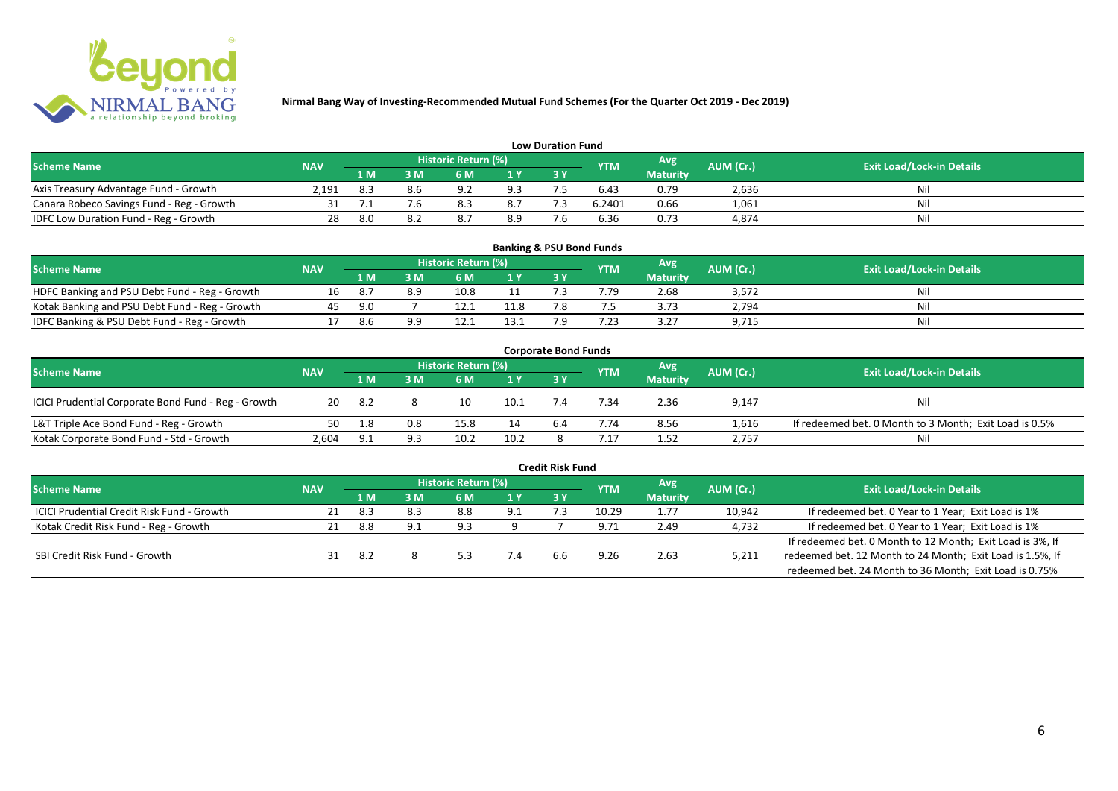

| <b>Low Duration Fund</b>                  |            |                                    |     |                |     |     |        |                 |           |                                  |  |  |  |
|-------------------------------------------|------------|------------------------------------|-----|----------------|-----|-----|--------|-----------------|-----------|----------------------------------|--|--|--|
| <b>Scheme Name</b>                        | <b>NAV</b> | Historic Return (%)<br>Avg'<br>YTM |     |                |     |     |        |                 |           | <b>Exit Load/Lock-in Details</b> |  |  |  |
|                                           |            | 1 M                                | 3 M | 6 M            | 1 Y | 3 Y |        | <b>Maturity</b> | AUM (Cr.) |                                  |  |  |  |
| Axis Treasury Advantage Fund - Growth     | 2.191      | 8.3                                |     | Q <sub>0</sub> | 9.3 |     | 6.43   | 0.79            | 2,636     | Nil                              |  |  |  |
| Canara Robeco Savings Fund - Reg - Growth |            |                                    |     | <sup>o</sup>   | 8.7 |     | 6.2401 | 0.66            | 1,061     | Nil                              |  |  |  |
| IDFC Low Duration Fund - Reg - Growth     | 28         | 8.0                                |     | 8.7            | 8.9 | - - | 6.36   | 0.73            | 4,874     | Nil                              |  |  |  |

| <b>Banking &amp; PSU Bond Funds</b>            |            |     |    |                            |      |      |            |                 |           |                                  |  |  |  |  |
|------------------------------------------------|------------|-----|----|----------------------------|------|------|------------|-----------------|-----------|----------------------------------|--|--|--|--|
| Scheme Name                                    | <b>NAV</b> |     |    | <b>Historic Return (%)</b> |      |      | <b>YTM</b> | Avg             | AUM (Cr.) | <b>Exit Load/Lock-in Details</b> |  |  |  |  |
|                                                |            | 1 M | sм | 6 M                        | 1 Y  | 73 Y |            | <b>Maturity</b> |           |                                  |  |  |  |  |
| HDFC Banking and PSU Debt Fund - Reg - Growth  |            |     |    | 10.8                       |      |      | 4.79       | 2.68            | 3,572     |                                  |  |  |  |  |
| Kotak Banking and PSU Debt Fund - Reg - Growth | 45         | 9.O |    |                            | 11.8 |      |            | 3.73            | 2,794     |                                  |  |  |  |  |
| IDFC Banking & PSU Debt Fund - Reg - Growth    |            | 8.6 |    |                            | 13.1 |      |            | 3.27            | 9,715     | Nil                              |  |  |  |  |

| <b>Corporate Bond Funds</b>                         |            |      |     |                     |      |    |                |                 |           |                                                        |  |  |  |  |
|-----------------------------------------------------|------------|------|-----|---------------------|------|----|----------------|-----------------|-----------|--------------------------------------------------------|--|--|--|--|
| <b>Scheme Name</b>                                  | <b>NAV</b> |      |     | Historic Return (%) |      |    | <b>YTM</b>     | Avg'            | AUM (Cr.) | <b>Exit Load/Lock-in Details</b>                       |  |  |  |  |
|                                                     |            | 1 M  | I M | 6 M                 | 1 Y  | 3Y |                | <b>Maturity</b> |           |                                                        |  |  |  |  |
| ICICI Prudential Corporate Bond Fund - Reg - Growth | 20         | -8.2 |     |                     | 10.1 |    | .34            | 2.36            | 9,147     | Nil                                                    |  |  |  |  |
| L&T Triple Ace Bond Fund - Reg - Growth             | 50.        | 1.8  | 0.8 | 15.8                | 14   |    | 7.74           | 8.56            | 1,616     | If redeemed bet. 0 Month to 3 Month; Exit Load is 0.5% |  |  |  |  |
| Kotak Corporate Bond Fund - Std - Growth            | 2.604      | ۵۰   |     | 10.2                | 10.2 |    | $^{\prime}.17$ | 1.52            | 2,757     | Nil                                                    |  |  |  |  |

| <b>Credit Risk Fund</b>                    |            |      |     |                     |     |     |            |                 |           |                                                           |  |  |  |
|--------------------------------------------|------------|------|-----|---------------------|-----|-----|------------|-----------------|-----------|-----------------------------------------------------------|--|--|--|
| <b>Scheme Name</b>                         | <b>NAV</b> |      |     | Historic Return (%) |     |     | <b>YTM</b> | Avg             | AUM (Cr.) | <b>Exit Load/Lock-in Details</b>                          |  |  |  |
|                                            |            | 4 MZ | 3 M | 6 M                 | 1Y  | 3Y  |            | <b>Maturity</b> |           |                                                           |  |  |  |
| ICICI Prudential Credit Risk Fund - Growth | 21         | -8.3 |     | 8.8                 | 9.1 |     | 10.29      | 1.77            | 10,942    | If redeemed bet. 0 Year to 1 Year; Exit Load is 1%        |  |  |  |
| Kotak Credit Risk Fund - Reg - Growth      |            | 8.8  |     | 9.3                 |     |     | 9.71       | 2.49            | 4,732     | If redeemed bet. 0 Year to 1 Year; Exit Load is 1%        |  |  |  |
|                                            |            |      |     |                     |     |     |            |                 |           | If redeemed bet. 0 Month to 12 Month; Exit Load is 3%, If |  |  |  |
| SBI Credit Risk Fund - Growth              |            | -8.2 |     |                     | 7.4 | 6.6 | 9.26       | 2.63            | 5,211     | redeemed bet. 12 Month to 24 Month; Exit Load is 1.5%, If |  |  |  |
|                                            |            |      |     |                     |     |     |            |                 |           | redeemed bet. 24 Month to 36 Month; Exit Load is 0.75%    |  |  |  |